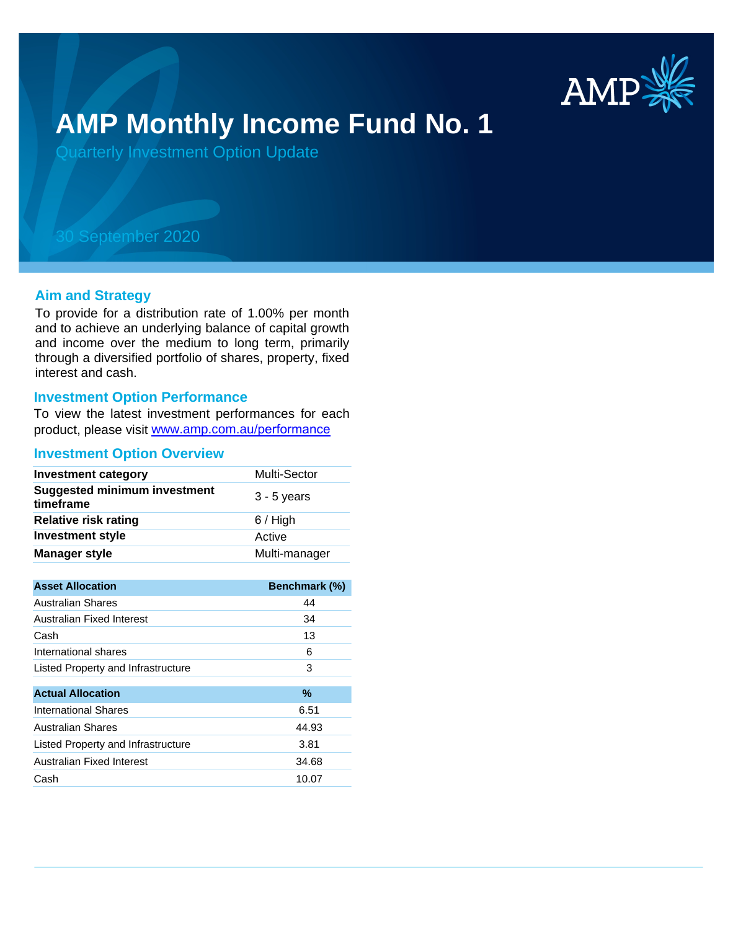

# **AMP Monthly Income Fund No. 1**

Quarterly Investment Option Update

## 30 September 2020

#### **Aim and Strategy**

To provide for a distribution rate of 1.00% per month and to achieve an underlying balance of capital growth and income over the medium to long term, primarily through a diversified portfolio of shares, property, fixed interest and cash.

#### **Investment Option Performance**

To view the latest investment performances for each product, please visit www.amp.com.au/performance

#### **Investment Option Overview**

| <b>Investment category</b>                       | Multi-Sector  |
|--------------------------------------------------|---------------|
| <b>Suggested minimum investment</b><br>timeframe | $3 - 5$ years |
| <b>Relative risk rating</b>                      | $6/$ High     |
| <b>Investment style</b>                          | Active        |
| <b>Manager style</b>                             | Multi-manager |

| <b>Asset Allocation</b>            | <b>Benchmark (%)</b> |
|------------------------------------|----------------------|
| Australian Shares                  | 44                   |
| Australian Fixed Interest          | 34                   |
| Cash                               | 13                   |
| International shares               | 6                    |
| Listed Property and Infrastructure | 3                    |
|                                    |                      |
| <b>Actual Allocation</b>           | $\%$                 |
| <b>International Shares</b>        | 6.51                 |
| Australian Shares                  | 44.93                |
| Listed Property and Infrastructure | 3.81                 |
| Australian Fixed Interest          | 34.68                |
| Cash                               | 10.07                |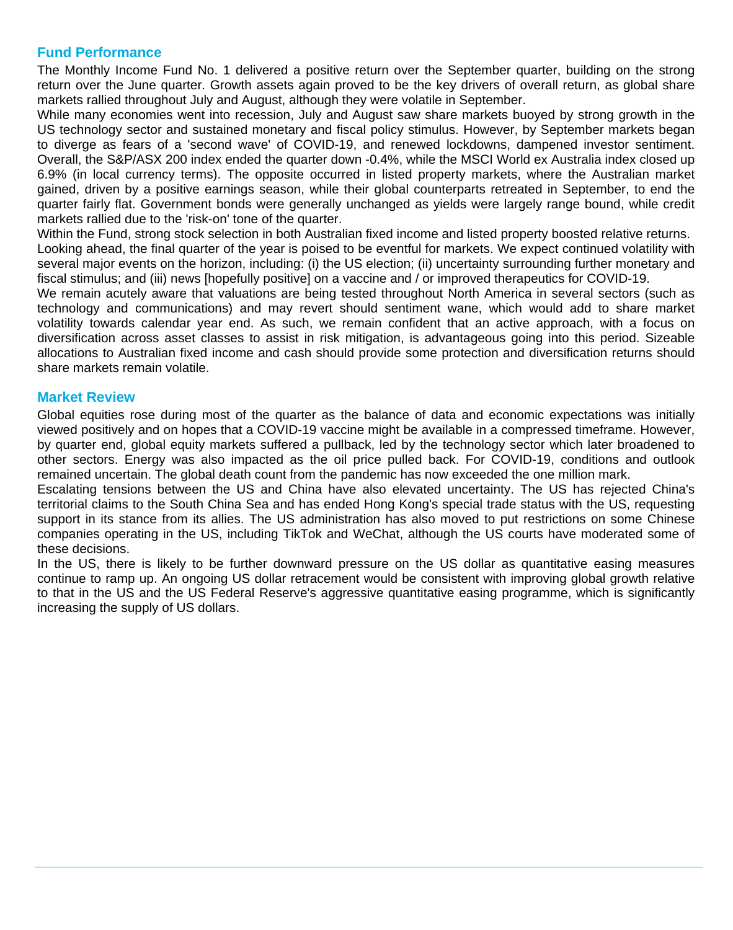### **Fund Performance**

The Monthly Income Fund No. 1 delivered a positive return over the September quarter, building on the strong return over the June quarter. Growth assets again proved to be the key drivers of overall return, as global share markets rallied throughout July and August, although they were volatile in September.

While many economies went into recession, July and August saw share markets buoyed by strong growth in the US technology sector and sustained monetary and fiscal policy stimulus. However, by September markets began to diverge as fears of a 'second wave' of COVID-19, and renewed lockdowns, dampened investor sentiment. Overall, the S&P/ASX 200 index ended the quarter down -0.4%, while the MSCI World ex Australia index closed up 6.9% (in local currency terms). The opposite occurred in listed property markets, where the Australian market gained, driven by a positive earnings season, while their global counterparts retreated in September, to end the quarter fairly flat. Government bonds were generally unchanged as yields were largely range bound, while credit markets rallied due to the 'risk-on' tone of the quarter.

Within the Fund, strong stock selection in both Australian fixed income and listed property boosted relative returns. Looking ahead, the final quarter of the year is poised to be eventful for markets. We expect continued volatility with several major events on the horizon, including: (i) the US election; (ii) uncertainty surrounding further monetary and fiscal stimulus; and (iii) news [hopefully positive] on a vaccine and / or improved therapeutics for COVID-19.

We remain acutely aware that valuations are being tested throughout North America in several sectors (such as technology and communications) and may revert should sentiment wane, which would add to share market volatility towards calendar year end. As such, we remain confident that an active approach, with a focus on diversification across asset classes to assist in risk mitigation, is advantageous going into this period. Sizeable allocations to Australian fixed income and cash should provide some protection and diversification returns should share markets remain volatile.

#### **Market Review**

Global equities rose during most of the quarter as the balance of data and economic expectations was initially viewed positively and on hopes that a COVID-19 vaccine might be available in a compressed timeframe. However, by quarter end, global equity markets suffered a pullback, led by the technology sector which later broadened to other sectors. Energy was also impacted as the oil price pulled back. For COVID-19, conditions and outlook remained uncertain. The global death count from the pandemic has now exceeded the one million mark.

Escalating tensions between the US and China have also elevated uncertainty. The US has rejected China's territorial claims to the South China Sea and has ended Hong Kong's special trade status with the US, requesting support in its stance from its allies. The US administration has also moved to put restrictions on some Chinese companies operating in the US, including TikTok and WeChat, although the US courts have moderated some of these decisions.

In the US, there is likely to be further downward pressure on the US dollar as quantitative easing measures continue to ramp up. An ongoing US dollar retracement would be consistent with improving global growth relative to that in the US and the US Federal Reserve's aggressive quantitative easing programme, which is significantly increasing the supply of US dollars.